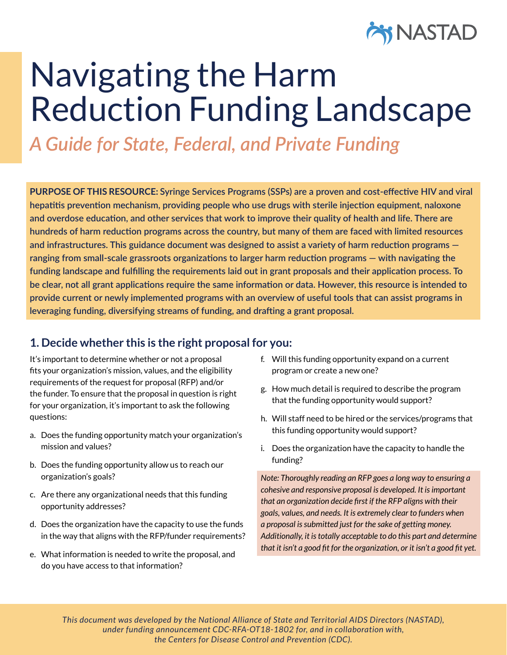

# Navigating the Harm Reduction Funding Landscape

*A Guide for State, Federal, and Private Funding*

**PURPOSE OF THIS RESOURCE: Syringe Services Programs (SSPs) are a proven and cost-effective HIV and viral hepatitis prevention mechanism, providing people who use drugs with sterile injection equipment, naloxone and overdose education, and other services that work to improve their quality of health and life. There are hundreds of harm reduction programs across the country, but many of them are faced with limited resources and infrastructures. This guidance document was designed to assist a variety of harm reduction programs ranging from small-scale grassroots organizations to larger harm reduction programs — with navigating the funding landscape and fulfilling the requirements laid out in grant proposals and their application process. To be clear, not all grant applications require the same information or data. However, this resource is intended to provide current or newly implemented programs with an overview of useful tools that can assist programs in leveraging funding, diversifying streams of funding, and drafting a grant proposal.** 

## **1. Decide whether this is the right proposal for you:**

It's important to determine whether or not a proposal fits your organization's mission, values, and the eligibility requirements of the request for proposal (RFP) and/or the funder. To ensure that the proposal in question is right for your organization, it's important to ask the following questions:

- a. Does the funding opportunity match your organization's mission and values?
- b. Does the funding opportunity allow us to reach our organization's goals?
- c. Are there any organizational needs that this funding opportunity addresses?
- d. Does the organization have the capacity to use the funds in the way that aligns with the RFP/funder requirements?
- e. What information is needed to write the proposal, and do you have access to that information?
- f. Will this funding opportunity expand on a current program or create a new one?
- g. How much detail is required to describe the program that the funding opportunity would support?
- h. Will staff need to be hired or the services/programs that this funding opportunity would support?
- i. Does the organization have the capacity to handle the funding?

*Note: Thoroughly reading an RFP goes a long way to ensuring a cohesive and responsive proposal is developed. It is important that an organization decide first if the RFP aligns with their goals, values, and needs. It is extremely clear to funders when a proposal is submitted just for the sake of getting money. Additionally, it is totally acceptable to do this part and determine that it isn't a good fit for the organization, or it isn't a good fit yet.*

Navigating the Harm Reduction Funding Landscape: A Guide for State, Federal, and Private Funding 1 *under funding announcement CDC-RFA-OT18-1802 for, and in collaboration with, This document was developed by the National Alliance of State and Territorial AIDS Directors (NASTAD), the Centers for Disease Control and Prevention (CDC).*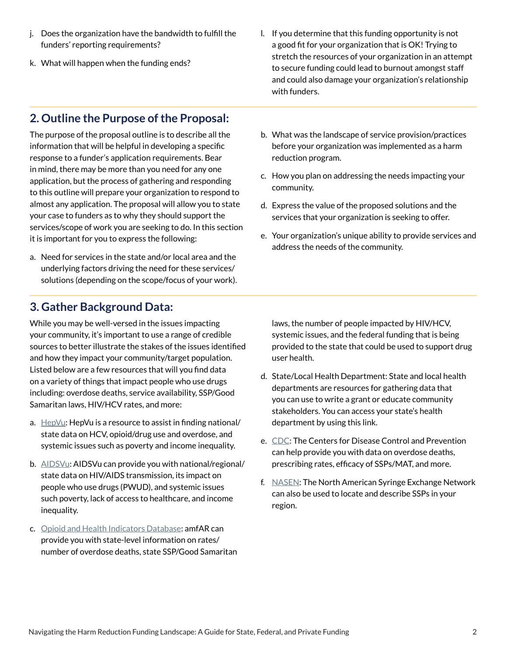- j. Does the organization have the bandwidth to fulfill the funders' reporting requirements?
- k. What will happen when the funding ends?

l. If you determine that this funding opportunity is not a good fit for your organization that is OK! Trying to stretch the resources of your organization in an attempt to secure funding could lead to burnout amongst staff and could also damage your organization's relationship with funders.

# **2. Outline the Purpose of the Proposal:**

The purpose of the proposal outline is to describe all the information that will be helpful in developing a specific response to a funder's application requirements. Bear in mind, there may be more than you need for any one application, but the process of gathering and responding to this outline will prepare your organization to respond to almost any application. The proposal will allow you to state your case to funders as to why they should support the services/scope of work you are seeking to do. In this section it is important for you to express the following:

a. Need for services in the state and/or local area and the underlying factors driving the need for these services/ solutions (depending on the scope/focus of your work).

## **3. Gather Background Data:**

While you may be well-versed in the issues impacting your community, it's important to use a range of credible sources to better illustrate the stakes of the issues identified and how they impact your community/target population. Listed below are a few resources that will you find data on a variety of things that impact people who use drugs including: overdose deaths, service availability, SSP/Good Samaritan laws, HIV/HCV rates, and more:

- a. [HepVu](https://hepvu.org/): HepVu is a resource to assist in finding national/ state data on HCV, opioid/drug use and overdose, and systemic issues such as poverty and income inequality.
- b. [AIDSVu](https://aidsvu.org/): AIDSVu can provide you with national/regional/ state data on HIV/AIDS transmission, its impact on people who use drugs (PWUD), and systemic issues such poverty, lack of access to healthcare, and income inequality.
- c. [Opioid and Health Indicators Database](https://opioid.amfar.org/): amfAR can provide you with state-level information on rates/ number of overdose deaths, state SSP/Good Samaritan
- b. What was the landscape of service provision/practices before your organization was implemented as a harm reduction program.
- c. How you plan on addressing the needs impacting your community.
- d. Express the value of the proposed solutions and the services that your organization is seeking to offer.
- e. Your organization's unique ability to provide services and address the needs of the community.

laws, the number of people impacted by HIV/HCV, systemic issues, and the federal funding that is being provided to the state that could be used to support drug user health.

- d. State/Local Health Department: State and local health departments are resources for gathering data that you can use to write a grant or educate community stakeholders. You can access your state's health department by using this [link](https://www.cdc.gov/publichealthgateway/healthdirectories/healthdepartments.html).
- e. [CDC:](https://www.cdc.gov/drugoverdose/data/index.html) The Centers for Disease Control and Prevention can help provide you with data on overdose deaths, prescribing rates, efficacy of SSPs/MAT, and more.
- f. [NASEN](https://nasen.org/map/): The North American Syringe Exchange Network can also be used to locate and describe SSPs in your region.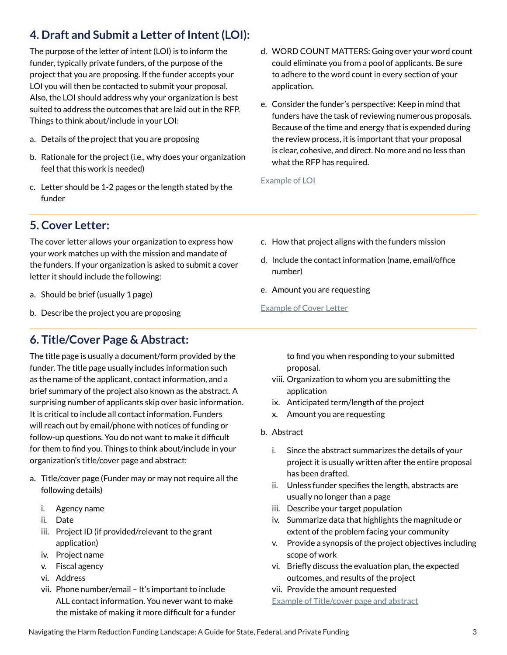# **4. Draft and Submit a Letter of Intent (LOI):**

The purpose of the letter of intent (LOI) is to inform the funder, typically private funders, of the purpose of the project that you are proposing. If the funder accepts your LOI you will then be contacted to submit your proposal. Also, the LOI should address why your organization is best suited to address the outcomes that are laid out in the RFP. Things to think about/include in your LOI:

- a. Details of the project that you are proposing
- b. Rationale for the project (i.e., why does your organization feel that this work is needed)
- c. Letter should be 1-2 pages or the length stated by the funder
- d. WORD COUNT MATTERS: Going over your word count could eliminate you from a pool of applicants. Be sure to adhere to the word count in every section of your application.
- e. Consider the funder's perspective: Keep in mind that funders have the task of reviewing numerous proposals. Because of the time and energy that is expended during the review process, it is important that your proposal is clear, cohesive, and direct. No more and no less than what the RFP has required.

#### [Example of LOI](https://www.umass.edu/cfr/grant-writing/guidelines-letter-intent)

# **5. Cover Letter:**

The cover letter allows your organization to express how your work matches up with the mission and mandate of the funders. If your organization is asked to submit a cover letter it should include the following:

- a. Should be brief (usually 1 page)
- b. Describe the project you are proposing

## **6. Title/Cover Page & Abstract:**

The title page is usually a document/form provided by the funder. The title page usually includes information such as the name of the applicant, contact information, and a brief summary of the project also known as the abstract. A surprising number of applicants skip over basic information. It is critical to include all contact information. Funders will reach out by email/phone with notices of funding or follow-up questions. You do not want to make it difficult for them to find you. Things to think about/include in your organization's title/cover page and abstract:

- a. Title/cover page (Funder may or may not require all the following details)
	- i. Agency name
	- ii. Date
	- iii. Project ID (if provided/relevant to the grant application)
	- iv. Project name
	- v. Fiscal agency
	- vi. Address
	- vii. Phone number/email It's important to include ALL contact information. You never want to make the mistake of making it more difficult for a funder
- c. How that project aligns with the funders mission
- d. Include the contact information (name, email/office number)
- e. Amount you are requesting

#### [Example of Cover Letter](https://www.kurzweiledu.com/files/proof_resources_grant1.pdf)

to find you when responding to your submitted proposal.

- viii. Organization to whom you are submitting the application
- ix. Anticipated term/length of the project
- x. Amount you are requesting
- b. Abstract
	- i. Since the abstract summarizes the details of your project it is usually written after the entire proposal has been drafted.
	- ii. Unless funder specifies the length, abstracts are usually no longer than a page
	- iii. Describe your target population
	- iv. Summarize data that highlights the magnitude or extent of the problem facing your community
	- v. Provide a synopsis of the project objectives including scope of work
	- vi. Briefly discuss the evaluation plan, the expected outcomes, and results of the project
	- vii. Provide the amount requested
	- [Example of Title/cover page and abstract](https://www.kurzweiledu.com/files/proof_resources_grant1.pdf)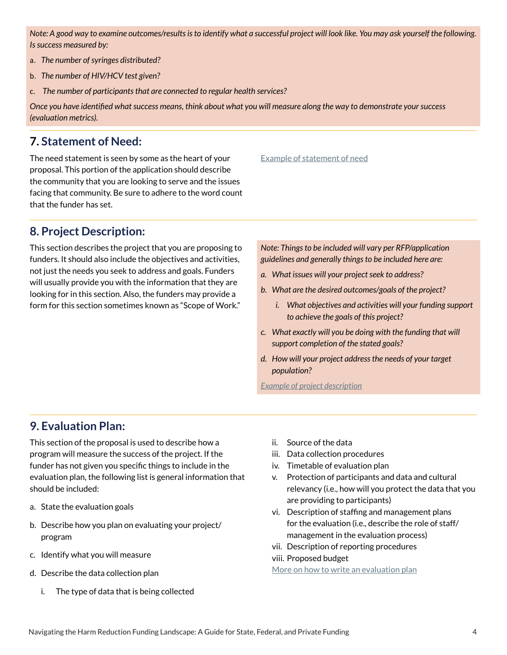*Note: A good way to examine outcomes/results is to identify what a successful project will look like. You may ask yourself the following. Is success measured by:*

- a. *The number of syringes distributed?*
- b. *The number of HIV/HCV test given?*
- c. *The number of participants that are connected to regular health services?*

*Once you have identified what success means, think about what you will measure along the way to demonstrate your success (evaluation metrics).*

#### **7. Statement of Need:**

The need statement is seen by some as the heart of your proposal. This portion of the application should describe the community that you are looking to serve and the issues facing that community. Be sure to adhere to the word count that the funder has set.

## **8. Project Description:**

This section describes the project that you are proposing to funders. It should also include the objectives and activities, not just the needs you seek to address and goals. Funders will usually provide you with the information that they are looking for in this section. Also, the funders may provide a form for this section sometimes known as "Scope of Work."

[Example of statement of need](https://www.kurzweiledu.com/files/proof_resources_grant1.pdf)

*Note: Things to be included will vary per RFP/application guidelines and generally things to be included here are:* 

- *a. What issues will your project seek to address?*
- *b. What are the desired outcomes/goals of the project?*
	- *i. What objectives and activities will your funding support to achieve the goals of this project?*
- *c. What exactly will you be doing with the funding that will support completion of the stated goals?*
- *d. How will your project address the needs of your target population?*

*[Example of project description](https://www.kurzweiledu.com/files/proof_resources_grant1.pdf)*

#### **9. Evaluation Plan:**

This section of the proposal is used to describe how a program will measure the success of the project. If the funder has not given you specific things to include in the evaluation plan, the following list is general information that should be included:

- a. State the evaluation goals
- b. Describe how you plan on evaluating your project/ program
- c. Identify what you will measure
- d. Describe the data collection plan
	- i. The type of data that is being collected
- ii. Source of the data
- iii. Data collection procedures
- iv. Timetable of evaluation plan
- v. Protection of participants and data and cultural relevancy (i.e., how will you protect the data that you are providing to participants)
- vi. Description of staffing and management plans for the evaluation (i.e., describe the role of staff/ management in the evaluation process)
- vii. Description of reporting procedures
- viii. Proposed budget

[More on how to write an evaluation plan](https://www.kurzweiledu.com/files/proof_resources_grant1.pdf)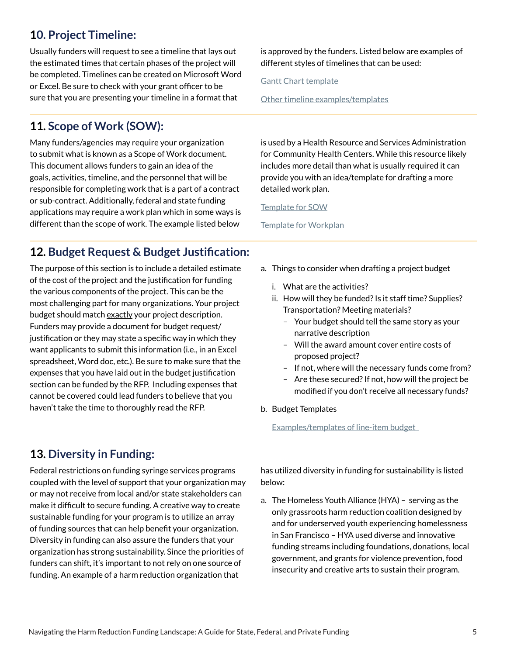# **10. Project Timeline:**

Usually funders will request to see a timeline that lays out the estimated times that certain phases of the project will be completed. Timelines can be created on Microsoft Word or Excel. Be sure to check with your grant officer to be sure that you are presenting your timeline in a format that

# **11. Scope of Work (SOW):**

Many funders/agencies may require your organization to submit what is known as a Scope of Work document. This document allows funders to gain an idea of the goals, activities, timeline, and the personnel that will be responsible for completing work that is a part of a contract or sub-contract. Additionally, federal and state funding applications may require a work plan which in some ways is different than the scope of work. The example listed below

is approved by the funders. Listed below are examples of different styles of timelines that can be used:

[Gantt Chart template](https://templates.office.com/en-us/simple-gantt-chart-tm16400962)

[Other timeline examples/templates](https://ed.sc.gov/finance/grants/scde-grants-program/program-planning-tools-templates-and-samples/timeline-templates/)

is used by a Health Resource and Services Administration for Community Health Centers. While this resource likely includes more detail than what is usually required it can provide you with an idea/template for drafting a more detailed work plan.

#### [Template for SOW](https://formswift.com/scope-of-work)

[Template for Workplan](https://documentcloud.adobe.com/link/review?uri=urn:aaid:scds:US:cc863c02-9fd2-4afd-8c67-c0391585aeeb)

# **12. Budget Request & Budget Justification:**

The purpose of this section is to include a detailed estimate of the cost of the project and the justification for funding the various components of the project. This can be the most challenging part for many organizations. Your project budget should match exactly your project description. Funders may provide a document for budget request/ justification or they may state a specific way in which they want applicants to submit this information (i.e., in an Excel spreadsheet, Word doc, etc.). Be sure to make sure that the expenses that you have laid out in the budget justification section can be funded by the RFP. Including expenses that cannot be covered could lead funders to believe that you haven't take the time to thoroughly read the RFP.

- a. Things to consider when drafting a project budget
	- i. What are the activities?
	- ii. How will they be funded? Is it staff time? Supplies? Transportation? Meeting materials?
		- Your budget should tell the same story as your narrative description
		- Will the award amount cover entire costs of proposed project?
		- If not, where will the necessary funds come from?
		- Are these secured? If not, how will the project be modified if you don't receive all necessary funds?
- b. Budget Templates

[Examples/templates of line-item budget](https://archstone.org/how-we-work/for-grantseekers/full-proposal-requirements/line-item-budget-templates)

## **13. Diversity in Funding:**

Federal restrictions on funding syringe services programs coupled with the level of support that your organization may or may not receive from local and/or state stakeholders can make it difficult to secure funding. A creative way to create sustainable funding for your program is to utilize an array of funding sources that can help benefit your organization. Diversity in funding can also assure the funders that your organization has strong sustainability. Since the priorities of funders can shift, it's important to not rely on one source of funding. An example of a harm reduction organization that

has utilized diversity in funding for sustainability is listed below:

a. [The Homeless Youth Alliance \(HYA\)](https://www.homelessyouthalliance.org/) – serving as the only grassroots harm reduction coalition designed by and for underserved youth experiencing homelessness in San Francisco – HYA used diverse and innovative funding streams including foundations, donations, local government, and grants for violence prevention, food insecurity and creative arts to sustain their program.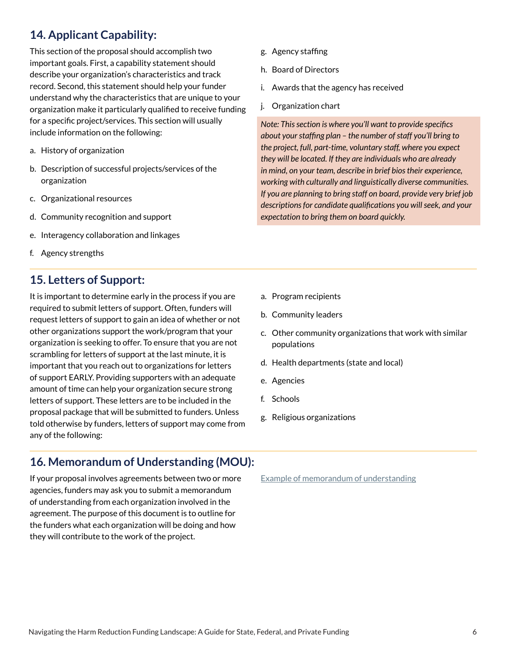# **14. Applicant Capability:**

This section of the proposal should accomplish two important goals. First, a capability statement should describe your organization's characteristics and track record. Second, this statement should help your funder understand why the characteristics that are unique to your organization make it particularly qualified to receive funding for a specific project/services. This section will usually include information on the following:

- a. History of organization
- b. Description of successful projects/services of the organization
- c. Organizational resources
- d. Community recognition and support
- e. Interagency collaboration and linkages
- f. Agency strengths

## **15. Letters of Support:**

It is important to determine early in the process if you are required to submit letters of support. Often, funders will request letters of support to gain an idea of whether or not other organizations support the work/program that your organization is seeking to offer. To ensure that you are not scrambling for letters of support at the last minute, it is important that you reach out to organizations for letters of support EARLY. Providing supporters with an adequate amount of time can help your organization secure strong letters of support. These letters are to be included in the proposal package that will be submitted to funders. Unless told otherwise by funders, letters of support may come from any of the following:

# **16. Memorandum of Understanding (MOU):**

If your proposal involves agreements between two or more agencies, funders may ask you to submit a memorandum of understanding from each organization involved in the agreement. The purpose of this document is to outline for the funders what each organization will be doing and how they will contribute to the work of the project.

- g. Agency staffing
- h. Board of Directors
- i. Awards that the agency has received
- j. Organization chart

*Note: This section is where you'll want to provide specifics about your staffing plan – the number of staff you'll bring to the project, full, part-time, voluntary staff, where you expect they will be located. If they are individuals who are already in mind, on your team, describe in brief bios their experience, working with culturally and linguistically diverse communities. If you are planning to bring staff on board, provide very brief job descriptions for candidate qualifications you will seek, and your expectation to bring them on board quickly.* 

- a. Program recipients
- b. Community leaders
- c. Other community organizations that work with similar populations
- d. Health departments (state and local)
- e. Agencies
- f. Schools
- g. Religious organizations

[Example of memorandum of understanding](https://www.acf.hhs.gov/sites/default/files/fysb/mou_508.pdf)